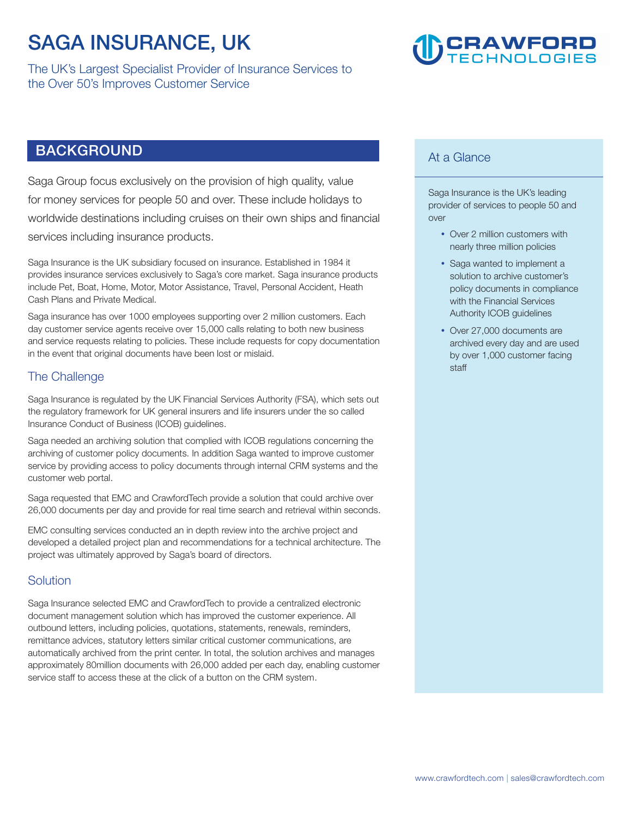### **SAGA INSURANCE, UK**

**The UK's Largest Specialist Provider of Insurance Services to the Over 50's Improves Customer Service** 

## **CRAWFORD**<br>TECHNOLOGIES

### **BACKGROUND**

**Saga Group focus exclusively on the provision of high quality, value for money services for people 50 and over. These include holidays to worldwide destinations including cruises on their own ships and financial services including insurance products.** 

**Saga Insurance is the UK subsidiary focused on insurance. Established in 1984 it provides insurance services exclusively to Saga's core market. Saga insurance products include Pet, Boat, Home, Motor, Motor Assistance, Travel, Personal Accident, Heath Cash Plans and Private Medical.** 

**Saga insurance has over 1000 employees supporting over 2 million customers. Each day customer service agents receive over 15,000 calls relating to both new business and service requests relating to policies. These include requests for copy documentation in the event that original documents have been lost or mislaid.** 

### **The Challenge**

**Saga Insurance is regulated by the UK Financial Services Authority (FSA), which sets out the regulatory framework for UK general insurers and life insurers under the so called Insurance Conduct of Business (ICOB) guidelines.** 

**Saga needed an archiving solution that complied with ICOB regulations concerning the archiving of customer policy documents. In addition Saga wanted to improve customer service by providing access to policy documents through internal CRM systems and the customer web portal.** 

**Saga requested that EMC and CrawfordTech provide a solution that could archive over 26,000 documents per day and provide for real time search and retrieval within seconds.** 

**EMC consulting services conducted an in depth review into the archive project and developed a detailed project plan and recommendations for a technical architecture. The project was ultimately approved by Saga's board of directors.** 

### **Solution**

**Saga Insurance selected EMC and CrawfordTech to provide a centralized electronic document management solution which has improved the customer experience. All outbound letters, including policies, quotations, statements, renewals, reminders, remittance advices, statutory letters similar critical customer communications, are automatically archived from the print center. In total, the solution archives and manages approximately 80million documents with 26,000 added per each day, enabling customer service staff to access these at the click of a button on the CRM system.** 

### **At a Glance**

**Saga Insurance is the UK's leading provider of services to people 50 and over** 

- Over 2 million customers with **nearly three million policies**
- Saga wanted to implement a **solution to archive customer's policy documents in compliance with the Financial Services Authority ICOB guidelines**
- Over 27,000 documents are **archived every day and are used by over 1,000 customer facing staff**